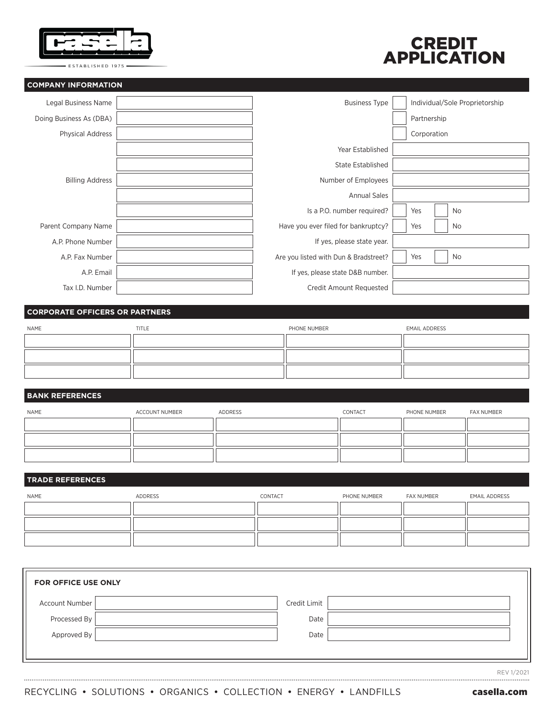

ESTABLISHED 1975 -

## **COMPANY INFORMATION**



| Legal Business Name     | <b>Business Type</b>                  |             | Individual/Sole Proprietorship |
|-------------------------|---------------------------------------|-------------|--------------------------------|
| Doing Business As (DBA) |                                       | Partnership |                                |
| <b>Physical Address</b> |                                       | Corporation |                                |
|                         | Year Established                      |             |                                |
|                         | State Established                     |             |                                |
| <b>Billing Address</b>  | Number of Employees                   |             |                                |
|                         | <b>Annual Sales</b>                   |             |                                |
|                         | Is a P.O. number required?            | Yes         | <b>No</b>                      |
| Parent Company Name     | Have you ever filed for bankruptcy?   | Yes         | No                             |
| A.P. Phone Number       | If yes, please state year.            |             |                                |
| A.P. Fax Number         | Are you listed with Dun & Bradstreet? | Yes         | No                             |
| A.P. Email              | If yes, please state D&B number.      |             |                                |
| Tax I.D. Number         | Credit Amount Requested               |             |                                |
|                         |                                       |             |                                |

# **CORPORATE OFFICERS OR PARTNERS**

| NAME | TITLE | PHONE NUMBER | <b>EMAIL ADDRESS</b> |
|------|-------|--------------|----------------------|
|      |       |              |                      |
|      |       |              |                      |
|      |       |              |                      |

## **BANK REFERENCES**

| NAME | ACCOUNT NUMBER | ADDRESS | CONTACT | PHONE NUMBER | FAX NUMBER |
|------|----------------|---------|---------|--------------|------------|
|      |                |         |         |              |            |
|      |                |         |         |              |            |
|      |                |         |         |              |            |

# **TRADE REFERENCES**

| NAME | ADDRESS | CONTACT | PHONE NUMBER | FAX NUMBER | <b>EMAIL ADDRESS</b> |
|------|---------|---------|--------------|------------|----------------------|
|      |         |         |              |            |                      |
|      |         |         |              |            |                      |
|      |         |         |              |            |                      |

| <b>FOR OFFICE USE ONLY</b> |              |
|----------------------------|--------------|
| Account Number             | Credit Limit |
| Processed By               | Date         |
| Approved By                | Date         |
|                            |              |